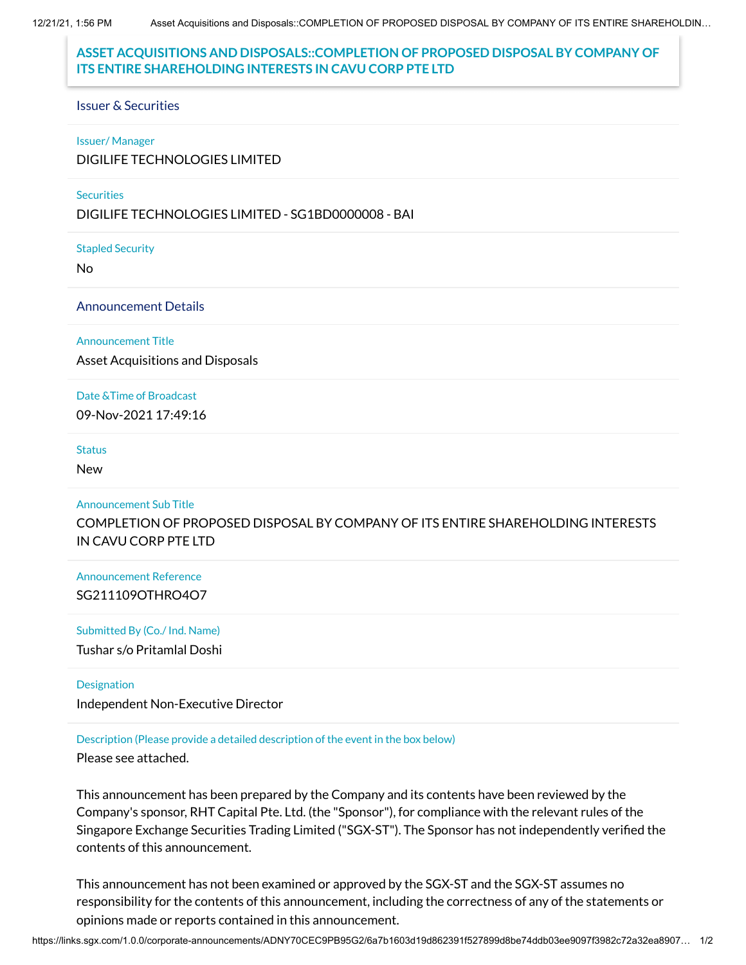12/21/21, 1:56 PM Asset Acquisitions and Disposals::COMPLETION OF PROPOSED DISPOSAL BY COMPANY OF ITS ENTIRE SHAREHOLDIN…

# **ASSET ACQUISITIONS AND DISPOSALS::COMPLETION OF PROPOSED DISPOSAL BY COMPANY OF ITS ENTIRE SHAREHOLDING INTERESTS IN CAVU CORP PTE LTD**

### Issuer & Securities

### Issuer/ Manager

DIGILIFE TECHNOLOGIES LIMITED

## **Securities**

DIGILIFE TECHNOLOGIES LIMITED - SG1BD0000008 - BAI

Stapled Security

No

## Announcement Details

Announcement Title

Asset Acquisitions and Disposals

Date &Time of Broadcast

09-Nov-2021 17:49:16

### **Status**

New

#### Announcement Sub Title

COMPLETION OF PROPOSED DISPOSAL BY COMPANY OF ITS ENTIRE SHAREHOLDING INTERESTS IN CAVU CORP PTE LTD

Announcement Reference SG211109OTHRO4O7

# Submitted By (Co./ Ind. Name)

Tushar s/o Pritamlal Doshi

## **Designation**

Independent Non-Executive Director

## Description (Please provide a detailed description of the event in the box below)

Please see attached.

This announcement has been prepared by the Company and its contents have been reviewed by the Company's sponsor, RHT Capital Pte. Ltd. (the "Sponsor"), for compliance with the relevant rules of the Singapore Exchange Securities Trading Limited ("SGX-ST"). The Sponsor has not independently verified the contents of this announcement.

This announcement has not been examined or approved by the SGX-ST and the SGX-ST assumes no responsibility for the contents of this announcement, including the correctness of any of the statements or opinions made or reports contained in this announcement.